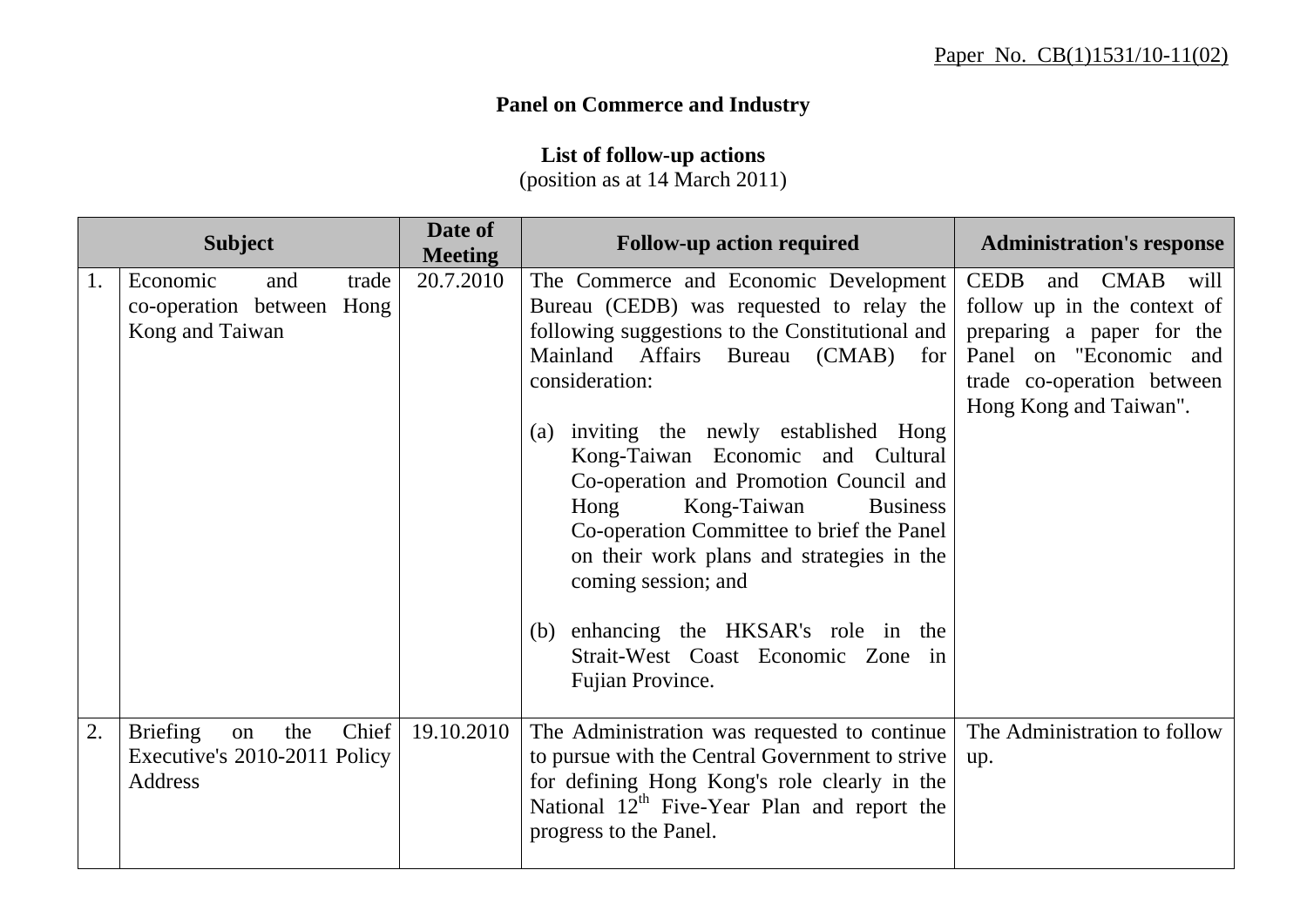## **Panel on Commerce and Industry**

**List of follow-up actions** 

(position as at 14 March 2011)

|    | <b>Subject</b>                                                   |              | Date of<br><b>Meeting</b> | <b>Follow-up action required</b>                                                                                                                                                                                                                                                                                                                                                                                                                                                                                                                                                            | <b>Administration's response</b>                                                                                                                            |
|----|------------------------------------------------------------------|--------------|---------------------------|---------------------------------------------------------------------------------------------------------------------------------------------------------------------------------------------------------------------------------------------------------------------------------------------------------------------------------------------------------------------------------------------------------------------------------------------------------------------------------------------------------------------------------------------------------------------------------------------|-------------------------------------------------------------------------------------------------------------------------------------------------------------|
| 1. | Economic<br>co-operation between Hong<br>Kong and Taiwan         | trade<br>and | 20.7.2010                 | The Commerce and Economic Development   CEDB<br>Bureau (CEDB) was requested to relay the<br>following suggestions to the Constitutional and<br>Mainland Affairs Bureau (CMAB) for<br>consideration:<br>(a) inviting the newly established Hong<br>Kong-Taiwan Economic and Cultural<br>Co-operation and Promotion Council and<br>Kong-Taiwan<br>Hong<br><b>Business</b><br>Co-operation Committee to brief the Panel<br>on their work plans and strategies in the<br>coming session; and<br>(b) enhancing the HKSAR's role in the<br>Strait-West Coast Economic Zone in<br>Fujian Province. | and CMAB will<br>follow up in the context of<br>preparing a paper for the<br>Panel on "Economic and<br>trade co-operation between<br>Hong Kong and Taiwan". |
| 2. | <b>Briefing</b><br>on<br>Executive's 2010-2011 Policy<br>Address | Chief<br>the | 19.10.2010                | The Administration was requested to continue<br>to pursue with the Central Government to strive<br>for defining Hong Kong's role clearly in the<br>National 12 <sup>th</sup> Five-Year Plan and report the<br>progress to the Panel.                                                                                                                                                                                                                                                                                                                                                        | The Administration to follow<br>up.                                                                                                                         |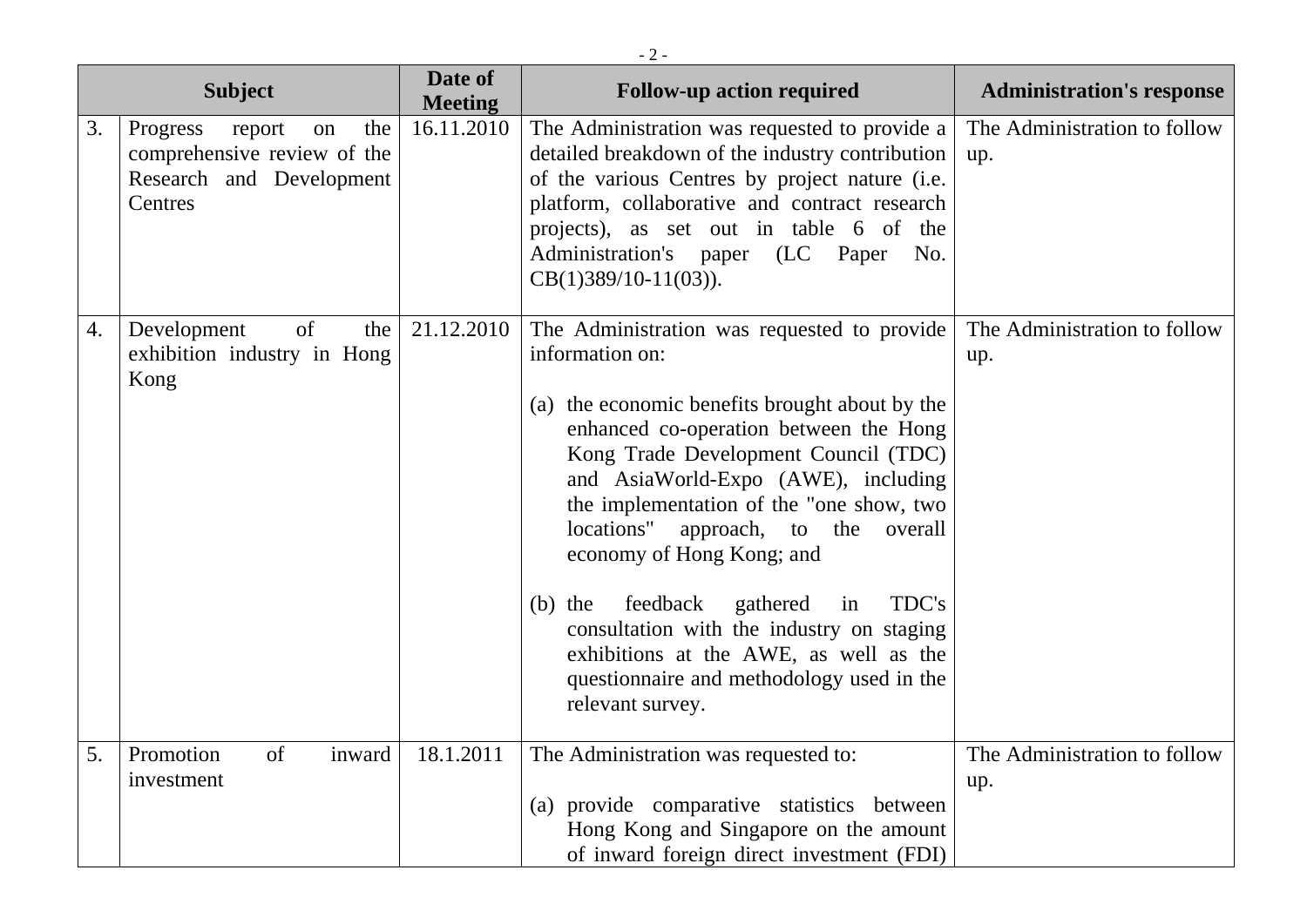| $-2-$ |                                                                                                       |                           |                                                                                                                                                                                                                                                                                                                                                                                                                                                                                                                                                                             |                                     |  |  |
|-------|-------------------------------------------------------------------------------------------------------|---------------------------|-----------------------------------------------------------------------------------------------------------------------------------------------------------------------------------------------------------------------------------------------------------------------------------------------------------------------------------------------------------------------------------------------------------------------------------------------------------------------------------------------------------------------------------------------------------------------------|-------------------------------------|--|--|
|       | <b>Subject</b>                                                                                        | Date of<br><b>Meeting</b> | <b>Follow-up action required</b>                                                                                                                                                                                                                                                                                                                                                                                                                                                                                                                                            | <b>Administration's response</b>    |  |  |
| 3.    | the<br>Progress<br>report<br>on<br>comprehensive review of the<br>Research and Development<br>Centres | 16.11.2010                | The Administration was requested to provide a<br>detailed breakdown of the industry contribution<br>of the various Centres by project nature (i.e.<br>platform, collaborative and contract research<br>projects), as set out in table 6 of the<br>Administration's paper (LC Paper<br>No.<br>$CB(1)389/10-11(03)$ ).                                                                                                                                                                                                                                                        | The Administration to follow<br>up. |  |  |
| 4.    | of<br>Development<br>the<br>exhibition industry in Hong<br>Kong                                       | 21.12.2010                | The Administration was requested to provide<br>information on:<br>(a) the economic benefits brought about by the<br>enhanced co-operation between the Hong<br>Kong Trade Development Council (TDC)<br>and AsiaWorld-Expo (AWE), including<br>the implementation of the "one show, two<br>locations"<br>approach, to the<br>overall<br>economy of Hong Kong; and<br>feedback<br>gathered<br>TDC's<br>$(b)$ the<br>in<br>consultation with the industry on staging<br>exhibitions at the AWE, as well as the<br>questionnaire and methodology used in the<br>relevant survey. | The Administration to follow<br>up. |  |  |
| 5.    | inward<br>of<br>Promotion<br>investment                                                               | 18.1.2011                 | The Administration was requested to:<br>(a) provide comparative statistics between<br>Hong Kong and Singapore on the amount<br>of inward foreign direct investment (FDI)                                                                                                                                                                                                                                                                                                                                                                                                    | The Administration to follow<br>up. |  |  |